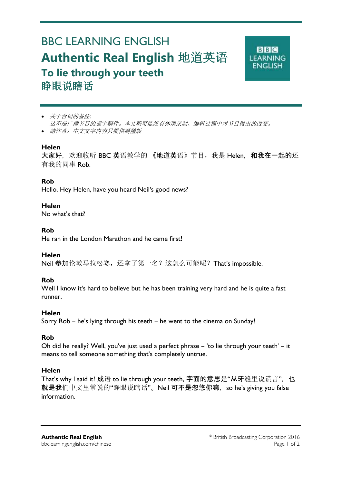# BBC LEARNING ENGLISH **Authentic Real English** 地道英语 **To lie through your teeth**  睁眼说瞎话



- 关于台词的备注*:* 这不是广播节目的逐字稿件。本文稿可能没有体现录制、编辑过程中对节目做出的改变。
- 請注意:中文文字内容只提供簡體版

## **Helen**

Ξ

大家好, 欢迎收听 BBC 英语教学的《地道英语》节目, 我是 Helen. 和我在一起的还 有我的同事 Rob.

# **Rob**

Hello. Hey Helen, have you heard NeiI's good news?

## **Helen**

No what's that?

## **Rob**

He ran in the London Marathon and he came first!

## **Helen**

Neil 参加伦敦马拉松赛,还拿了第一名?这怎么可能呢? That's impossible.

# **Rob**

Well I know it's hard to believe but he has been training very hard and he is quite a fast runner.

## **Helen**

Sorry Rob – he's lying through his teeth – he went to the cinema on Sunday!

# **Rob**

Oh did he really? Well, you've just used a perfect phrase – 'to lie through your teeth' – it means to tell someone something that's completely untrue.

# **Helen**

That's why I said it! 成语 to lie through your teeth, 字面的意思是"从牙缝里说谎言", 也 就是我们中文里常说的"睁眼说瞎话"。Neil 可不是忽悠你嘛, so he's giving you false information.